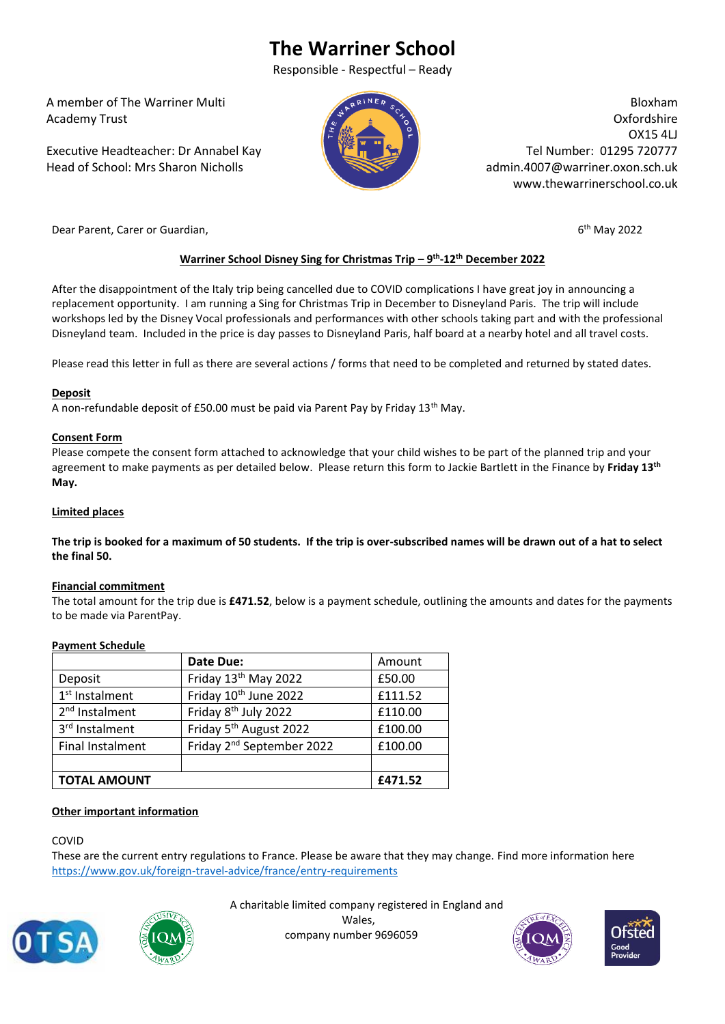# **The Warriner School**

Responsible - Respectful – Ready

 A member of The Warriner Multi Academy Trust

 Executive Headteacher: Dr Annabel Kay Head of School: Mrs Sharon Nicholls



Bloxham Oxfordshire OX15 4LJ Tel Number: 01295 720777 admin.4007@warriner.oxon.sch.uk www.thewarrinerschool.co.uk

Dear Parent, Carer or Guardian,

 $6<sup>th</sup>$  May 2022

## **Warriner School Disney Sing for Christmas Trip – 9 th -12th December 2022**

After the disappointment of the Italy trip being cancelled due to COVID complications I have great joy in announcing a replacement opportunity. I am running a Sing for Christmas Trip in December to Disneyland Paris. The trip will include workshops led by the Disney Vocal professionals and performances with other schools taking part and with the professional Disneyland team. Included in the price is day passes to Disneyland Paris, half board at a nearby hotel and all travel costs.

Please read this letter in full as there are several actions / forms that need to be completed and returned by stated dates.

## **Deposit**

A non-refundable deposit of £50.00 must be paid via Parent Pay by Friday 13th May.

## **Consent Form**

Please compete the consent form attached to acknowledge that your child wishes to be part of the planned trip and your agreement to make payments as per detailed below. Please return this form to Jackie Bartlett in the Finance by **Friday 13th May.**

#### **Limited places**

**The trip is booked for a maximum of 50 students. If the trip is over-subscribed names will be drawn out of a hat to select the final 50.**

## **Financial commitment**

The total amount for the trip due is **£471.52**, below is a payment schedule, outlining the amounts and dates for the payments to be made via ParentPay.

## **Payment Schedule**

|                            | Date Due:                             | Amount  |
|----------------------------|---------------------------------------|---------|
| Deposit                    | Friday 13 <sup>th</sup> May 2022      | £50.00  |
| $1st$ Instalment           | Friday 10 <sup>th</sup> June 2022     | £111.52 |
| 2 <sup>nd</sup> Instalment | Friday 8 <sup>th</sup> July 2022      | £110.00 |
| 3rd Instalment             | Friday 5 <sup>th</sup> August 2022    | £100.00 |
| Final Instalment           | Friday 2 <sup>nd</sup> September 2022 | £100.00 |
|                            |                                       |         |
| <b>TOTAL AMOUNT</b>        |                                       | £471.52 |

## **Other important information**

#### COVID

These are the current entry regulations to France. Please be aware that they may change. Find more information here <https://www.gov.uk/foreign-travel-advice/france/entry-requirements>





A charitable limited company registered in England and

Wales, company number 9696059